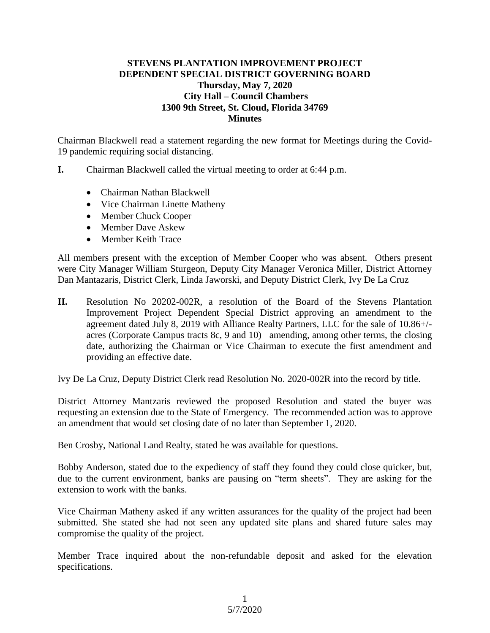## **STEVENS PLANTATION IMPROVEMENT PROJECT DEPENDENT SPECIAL DISTRICT GOVERNING BOARD Thursday, May 7, 2020 City Hall – Council Chambers 1300 9th Street, St. Cloud, Florida 34769 Minutes**

Chairman Blackwell read a statement regarding the new format for Meetings during the Covid-19 pandemic requiring social distancing.

- **I.** Chairman Blackwell called the virtual meeting to order at 6:44 p.m.
	- Chairman Nathan Blackwell
	- Vice Chairman Linette Matheny
	- Member Chuck Cooper
	- Member Dave Askew
	- Member Keith Trace

All members present with the exception of Member Cooper who was absent. Others present were City Manager William Sturgeon, Deputy City Manager Veronica Miller, District Attorney Dan Mantazaris, District Clerk, Linda Jaworski, and Deputy District Clerk, Ivy De La Cruz

**II.** Resolution No 20202-002R, a resolution of the Board of the Stevens Plantation Improvement Project Dependent Special District approving an amendment to the agreement dated July 8, 2019 with Alliance Realty Partners, LLC for the sale of 10.86+/ acres (Corporate Campus tracts 8c, 9 and 10) amending, among other terms, the closing date, authorizing the Chairman or Vice Chairman to execute the first amendment and providing an effective date.

Ivy De La Cruz, Deputy District Clerk read Resolution No. 2020-002R into the record by title.

District Attorney Mantzaris reviewed the proposed Resolution and stated the buyer was requesting an extension due to the State of Emergency. The recommended action was to approve an amendment that would set closing date of no later than September 1, 2020.

Ben Crosby, National Land Realty, stated he was available for questions.

Bobby Anderson, stated due to the expediency of staff they found they could close quicker, but, due to the current environment, banks are pausing on "term sheets". They are asking for the extension to work with the banks.

Vice Chairman Matheny asked if any written assurances for the quality of the project had been submitted. She stated she had not seen any updated site plans and shared future sales may compromise the quality of the project.

Member Trace inquired about the non-refundable deposit and asked for the elevation specifications.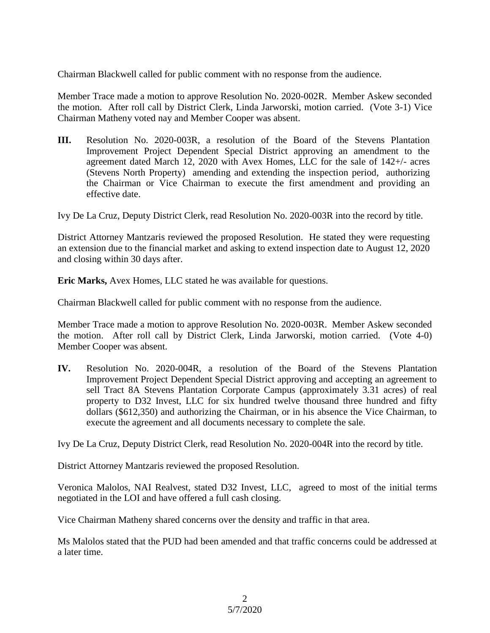Chairman Blackwell called for public comment with no response from the audience.

Member Trace made a motion to approve Resolution No. 2020-002R. Member Askew seconded the motion. After roll call by District Clerk, Linda Jarworski, motion carried. (Vote 3-1) Vice Chairman Matheny voted nay and Member Cooper was absent.

**III.** Resolution No. 2020-003R, a resolution of the Board of the Stevens Plantation Improvement Project Dependent Special District approving an amendment to the agreement dated March 12, 2020 with Avex Homes, LLC for the sale of 142+/- acres (Stevens North Property) amending and extending the inspection period, authorizing the Chairman or Vice Chairman to execute the first amendment and providing an effective date.

Ivy De La Cruz, Deputy District Clerk, read Resolution No. 2020-003R into the record by title.

District Attorney Mantzaris reviewed the proposed Resolution. He stated they were requesting an extension due to the financial market and asking to extend inspection date to August 12, 2020 and closing within 30 days after.

**Eric Marks,** Avex Homes, LLC stated he was available for questions.

Chairman Blackwell called for public comment with no response from the audience.

Member Trace made a motion to approve Resolution No. 2020-003R. Member Askew seconded the motion. After roll call by District Clerk, Linda Jarworski, motion carried. (Vote 4-0) Member Cooper was absent.

**IV.** Resolution No. 2020-004R, a resolution of the Board of the Stevens Plantation Improvement Project Dependent Special District approving and accepting an agreement to sell Tract 8A Stevens Plantation Corporate Campus (approximately 3.31 acres) of real property to D32 Invest, LLC for six hundred twelve thousand three hundred and fifty dollars (\$612,350) and authorizing the Chairman, or in his absence the Vice Chairman, to execute the agreement and all documents necessary to complete the sale.

Ivy De La Cruz, Deputy District Clerk, read Resolution No. 2020-004R into the record by title.

District Attorney Mantzaris reviewed the proposed Resolution.

Veronica Malolos, NAI Realvest, stated D32 Invest, LLC, agreed to most of the initial terms negotiated in the LOI and have offered a full cash closing.

Vice Chairman Matheny shared concerns over the density and traffic in that area.

Ms Malolos stated that the PUD had been amended and that traffic concerns could be addressed at a later time.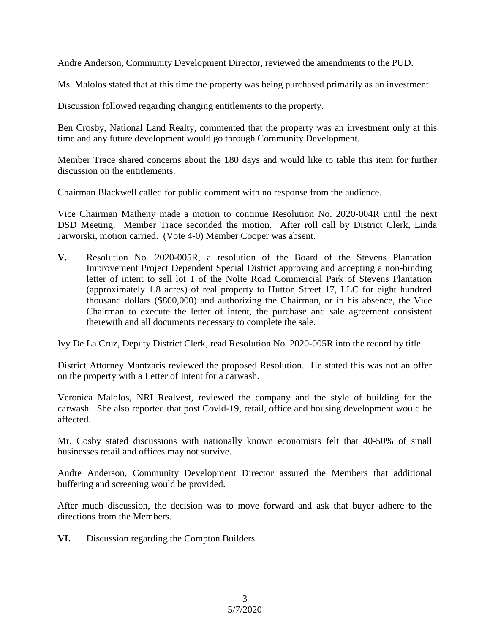Andre Anderson, Community Development Director, reviewed the amendments to the PUD.

Ms. Malolos stated that at this time the property was being purchased primarily as an investment.

Discussion followed regarding changing entitlements to the property.

Ben Crosby, National Land Realty, commented that the property was an investment only at this time and any future development would go through Community Development.

Member Trace shared concerns about the 180 days and would like to table this item for further discussion on the entitlements.

Chairman Blackwell called for public comment with no response from the audience.

Vice Chairman Matheny made a motion to continue Resolution No. 2020-004R until the next DSD Meeting. Member Trace seconded the motion. After roll call by District Clerk, Linda Jarworski, motion carried. (Vote 4-0) Member Cooper was absent.

**V.** Resolution No. 2020-005R, a resolution of the Board of the Stevens Plantation Improvement Project Dependent Special District approving and accepting a non-binding letter of intent to sell lot 1 of the Nolte Road Commercial Park of Stevens Plantation (approximately 1.8 acres) of real property to Hutton Street 17, LLC for eight hundred thousand dollars (\$800,000) and authorizing the Chairman, or in his absence, the Vice Chairman to execute the letter of intent, the purchase and sale agreement consistent therewith and all documents necessary to complete the sale.

Ivy De La Cruz, Deputy District Clerk, read Resolution No. 2020-005R into the record by title.

District Attorney Mantzaris reviewed the proposed Resolution. He stated this was not an offer on the property with a Letter of Intent for a carwash.

Veronica Malolos, NRI Realvest, reviewed the company and the style of building for the carwash. She also reported that post Covid-19, retail, office and housing development would be affected.

Mr. Cosby stated discussions with nationally known economists felt that 40-50% of small businesses retail and offices may not survive.

Andre Anderson, Community Development Director assured the Members that additional buffering and screening would be provided.

After much discussion, the decision was to move forward and ask that buyer adhere to the directions from the Members.

**VI.** Discussion regarding the Compton Builders.